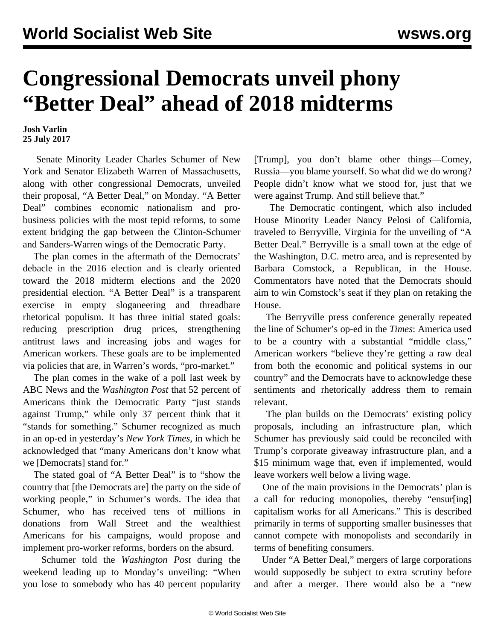## **Congressional Democrats unveil phony "Better Deal" ahead of 2018 midterms**

**Josh Varlin 25 July 2017**

 Senate Minority Leader Charles Schumer of New York and Senator Elizabeth Warren of Massachusetts, along with other congressional Democrats, unveiled their proposal, "A Better Deal," on Monday. "A Better Deal" combines economic nationalism and probusiness policies with the most tepid reforms, to some extent bridging the gap between the Clinton-Schumer and Sanders-Warren wings of the Democratic Party.

 The plan comes in the aftermath of the Democrats' debacle in the 2016 election and is clearly oriented toward the 2018 midterm elections and the 2020 presidential election. "A Better Deal" is a transparent exercise in empty sloganeering and threadbare rhetorical populism. It has three initial stated goals: reducing prescription drug prices, strengthening antitrust laws and increasing jobs and wages for American workers. These goals are to be implemented via policies that are, in Warren's words, "pro-market."

 The plan comes in the wake of a poll last week by ABC News and the *Washington Post* that 52 percent of Americans think the Democratic Party "just stands against Trump," while only 37 percent think that it "stands for something." Schumer recognized as much in an op-ed in yesterday's *New York Times*, in which he acknowledged that "many Americans don't know what we [Democrats] stand for."

 The stated goal of "A Better Deal" is to "show the country that [the Democrats are] the party on the side of working people," in Schumer's words. The idea that Schumer, who has received tens of millions in donations from Wall Street and the wealthiest Americans for his campaigns, would propose and implement pro-worker reforms, borders on the absurd.

 Schumer told the *Washington Post* during the weekend leading up to Monday's unveiling: "When you lose to somebody who has 40 percent popularity

[Trump], you don't blame other things—Comey, Russia—you blame yourself. So what did we do wrong? People didn't know what we stood for, just that we were against Trump. And still believe that."

 The Democratic contingent, which also included House Minority Leader Nancy Pelosi of California, traveled to Berryville, Virginia for the unveiling of "A Better Deal." Berryville is a small town at the edge of the Washington, D.C. metro area, and is represented by Barbara Comstock, a Republican, in the House. Commentators have noted that the Democrats should aim to win Comstock's seat if they plan on retaking the House.

 The Berryville press conference generally repeated the line of Schumer's op-ed in the *Times*: America used to be a country with a substantial "middle class," American workers "believe they're getting a raw deal from both the economic and political systems in our country" and the Democrats have to acknowledge these sentiments and rhetorically address them to remain relevant.

 The plan builds on the Democrats' existing policy proposals, including an infrastructure plan, which Schumer has previously said could be reconciled with Trump's corporate giveaway [infrastructure plan](/en/articles/2017/06/14/infr-j14.html), and a \$15 minimum wage that, even if implemented, would leave workers well below a living wage.

 One of the main provisions in the Democrats' plan is a call for reducing monopolies, thereby "ensur[ing] capitalism works for all Americans." This is described primarily in terms of supporting smaller businesses that cannot compete with monopolists and secondarily in terms of benefiting consumers.

 Under "A Better Deal," mergers of large corporations would supposedly be subject to extra scrutiny before and after a merger. There would also be a "new